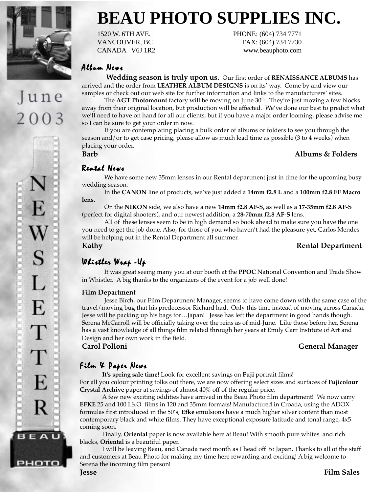

June

2003

# **BEAU PHOTO SUPPLIES INC.**

1520 W. 6TH AVE. PHONE: (604) 734 7771 VANCOUVER, BC FAX: (604) 734 7730 CANADA V6J 1R2 www.beauphoto.com

#### Album News

 **Wedding season is truly upon us.** Our first order of **RENAISSANCE ALBUMS** has arrived and the order from **LEATHER ALBUM DESIGNS** is on its' way. Come by and view our samples or check out our web site for further information and links to the manufacturers' sites.

The **AGT Photomount** factory will be moving on June 30<sup>th</sup>. They're just moving a few blocks away from their original location, but production will be affected. We've done our best to predict what we'll need to have on hand for all our clients, but if you have a major order looming, please advise me so I can be sure to get your order in now.

If you are contemplating placing a bulk order of albums or folders to see you through the season and/or to get case pricing, please allow as much lead time as possible (3 to 4 weeks) when placing your order.

#### **Barb Albums & Folders**

### Rental News Rental News

We have some new 35mm lenses in our Rental department just in time for the upcoming busy wedding season.

In the **CANON** line of products, we've just added a **14mm f2.8 L** and a **100mm f2.8 EF Macro lens.**

On the **NIKON** side, we also have a new **14mm f2.8 AF-S,** as well as a **17-35mm f2.8 AF-S** (perfect for digital shooters), and our newest addition, a **28-70mm f2.8 AF**-**S** lens.

All of these lenses seem to be in high demand so book ahead to make sure you have the one you need to get the job done. Also, for those of you who haven't had the pleasure yet, Carlos Mendes will be helping out in the Rental Department all summer.

#### Kathy **Rental Department**

#### Whistler Wrap -Up

It was great seeing many you at our booth at the **PPOC** National Convention and Trade Show in Whistler. A big thanks to the organizers of the event for a job well done!

#### **Film Department**

Jesse Birch, our Film Department Manager, seems to have come down with the same case of the travel/moving bug that his predecessor Richard had. Only this time instead of moving across Canada, Jesse will be packing up his bags for…Japan! Jesse has left the department in good hands though. Serena McCarroll will be officially taking over the reins as of mid-June. Like those before her, Serena has a vast knowledge of all things film related through her years at Emily Carr Institute of Art and Design and her own work in the field.

#### **Carol Polloni General Manager**

### $film$  & Paper News

**It's spring sale time!** Look for excellent savings on **Fuji** portrait films! For all you colour printing folks out there, we are now offering select sizes and surfaces of **Fujicolour Crystal Archive** paper at savings of almost 40% off of the regular price.

A few new exciting oddities have arrived in the Beau Photo film department! We now carry **EFKE** 25 and 100 I.S.O. films in 120 and 35mm formats! Manufactured in Croatia, using the ADOX formulas first introduced in the 50's, **Efke** emulsions have a much higher silver content than most contemporary black and white films. They have exceptional exposure latitude and tonal range, 4x5 coming soon.

Finally, **Oriental** paper is now available here at Beau! With smooth pure whites and rich blacks, **Oriental** is a beautiful paper.

I will be leaving Beau, and Canada next month as I head off to Japan. Thanks to all of the staff and customers at Beau Photo for making my time here rewarding and exciting! A big welcome to Serena the incoming film person! **Jesse Film Sales**

рното